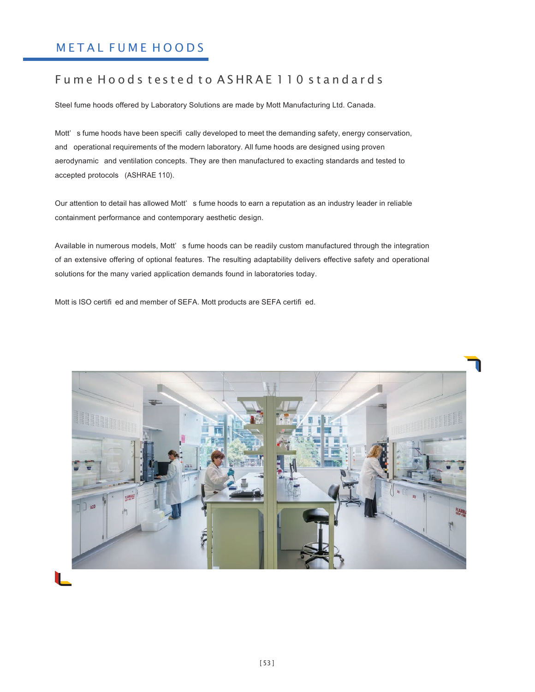# METAL FUME HOODS

# Fume Hoods tested to ASHRAE 110 standards

Steel fume hoods offered by Laboratory Solutions are made by Mott Manufacturing Ltd. Canada.

Mott' s fume hoods have been specifi cally developed to meet the demanding safety, energy conservation, and operational requirements of the modern laboratory. All fume hoods are designed using proven aerodynamic and ventilation concepts. They are then manufactured to exacting standards and tested to accepted protocols (ASHRAE 110).

Our attention to detail has allowed Mott' s fume hoods to earn a reputation as an industry leader in reliable containment performance and contemporary aesthetic design.

Available in numerous models, Mott' s fume hoods can be readily custom manufactured through the integration of an extensive offering of optional features. The resulting adaptability delivers effective safety and operational solutions for the many varied application demands found in laboratories today.

Mott is ISO certifi ed and member of SEFA. Mott products are SEFA certifi ed.

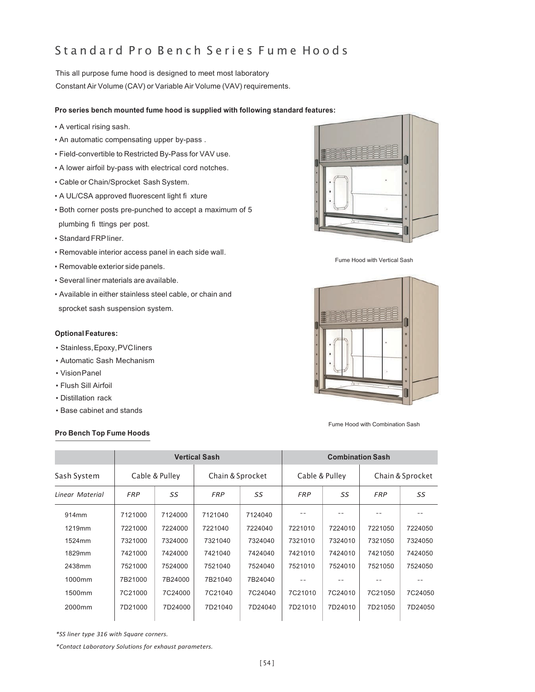# Standard Pro Bench Series Fume Hoods

This all purpose fume hood is designed to meet most laboratory Constant Air Volume (CAV) or Variable Air Volume (VAV) requirements.

#### **Pro series bench mounted fume hood is supplied with following standard features:**

- A vertical rising sash.
- An automatic compensating upper by-pass .
- Field-convertible to Restricted By-Pass for VAV use.
- A lower airfoil by-pass with electrical cord notches.
- Cable or Chain/Sprocket Sash System.
- A UL/CSA approved fluorescent light fi xture
- Both corner posts pre-punched to accept a maximum of 5 plumbing fi ttings per post.
- Standard FRP liner.
- Removable interior access panel in each side wall.
- Removable exterior side panels.
- Several liner materials are available.
- Available in either stainless steel cable, or chain and sprocket sash suspension system.

#### **Optional Features:**

- Stainless, Epoxy, PVC liners
- Automatic Sash Mechanism
- Vision Panel
- Flush Sill Airfoil
- Distillation rack
- Base cabinet and stands

### **Pro Bench Top Fume Hoods**



Fume Hood with Vertical Sash



Fume Hood with Combination Sash

|                 | <b>Vertical Sash</b> |         |                  |         | <b>Combination Sash</b> |         |                  |         |
|-----------------|----------------------|---------|------------------|---------|-------------------------|---------|------------------|---------|
| Sash System     | Cable & Pulley       |         | Chain & Sprocket |         | Cable & Pulley          |         | Chain & Sprocket |         |
| Linear Material | <b>FRP</b>           | SS      | <b>FRP</b>       | SS      | SS<br><b>FRP</b>        |         | <b>FRP</b>       | SS      |
| 914mm           | 7121000              | 7124000 | 7121040          | 7124040 |                         |         |                  |         |
| 1219mm          | 7221000              | 7224000 | 7221040          | 7224040 | 7221010                 | 7224010 | 7221050          | 7224050 |
| 1524mm          | 7321000              | 7324000 | 7321040          | 7324040 | 7321010                 | 7324010 | 7321050          | 7324050 |
| 1829mm          | 7421000              | 7424000 | 7421040          | 7424040 | 7421010                 | 7424010 | 7421050          | 7424050 |
| 2438mm          | 7521000              | 7524000 | 7521040          | 7524040 | 7521010                 | 7524010 | 7521050          | 7524050 |
| 1000mm          | 7B21000              | 7B24000 | 7B21040          | 7B24040 |                         |         |                  |         |
| 1500mm          | 7C21000              | 7C24000 | 7C21040          | 7C24040 | 7C21010                 | 7C24010 | 7C21050          | 7C24050 |
| 2000mm          | 7D21000              | 7D24000 | 7D21040          | 7D24040 | 7D21010                 | 7D24010 | 7D21050          | 7D24050 |

*\*SS liner type 316 with Square corners.*

*\*Contact Laboratory Solutions for exhaust parameters.*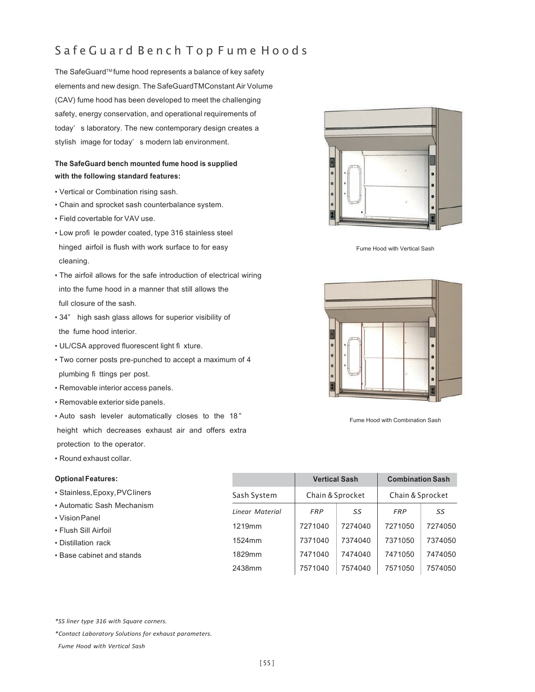# Safe Guard Bench Top Fume Hoods

The SafeGuard™ fume hood represents a balance of key safety elements and new design. The SafeGuardTMConstant Air Volume (CAV) fume hood has been developed to meet the challenging safety, energy conservation, and operational requirements of today' s laboratory. The new contemporary design creates a stylish image for today' s modern lab environment.

## **The SafeGuard bench mounted fume hood is supplied with the following standard features:**

- Vertical or Combination rising sash.
- Chain and sprocket sash counterbalance system.
- Field covertable for VAV use.
- Low profi le powder coated, type 316 stainless steel hinged airfoil is flush with work surface to for easy cleaning.
- The airfoil allows for the safe introduction of electrical wiring into the fume hood in a manner that still allows the full closure of the sash.
- 34" high sash glass allows for superior visibility of the fume hood interior.
- UL/CSA approved fluorescent light fi xture.
- Two corner posts pre-punched to accept a maximum of 4 plumbing fi ttings per post.
- Removable interior access panels.
- Removable exterior side panels.
- Auto sash leveler automatically closes to the 18 " height which decreases exhaust air and offers extra protection to the operator.
- Round exhaust collar.

#### **Optional Features:**

- Stainless, Epoxy, PVC liners
- Automatic Sash Mechanism
- Vision Panel
- Flush Sill Airfoil
- Distillation rack
- Base cabinet and stands



Fume Hood with Vertical Sash



Fume Hood with Combination Sash

|                 |            | <b>Vertical Sash</b> | <b>Combination Sash</b> |         |  |
|-----------------|------------|----------------------|-------------------------|---------|--|
| Sash System     |            | Chain & Sprocket     | Chain & Sprocket        |         |  |
| Linear Material | <b>FRP</b> | SS                   | <b>FRP</b>              | SS      |  |
| 1219mm          | 7271040    | 7274040              | 7271050                 | 7274050 |  |
| 1524mm          | 7371040    | 7374040              | 7371050                 | 7374050 |  |
| 1829mm          | 7471040    | 7474040              | 7471050                 | 7474050 |  |
| 2438mm          | 7571040    | 7574040              | 7571050                 | 7574050 |  |

*\*SS liner type 316 with Square corners.*

*Fume Hood with Vertical Sash*

*<sup>\*</sup>Contact Laboratory Solutions for exhaust parameters.*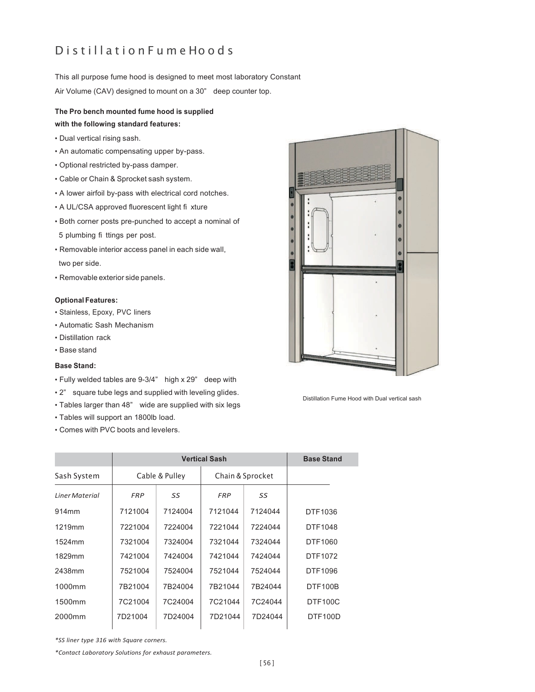# D is till a tion Fume Hoods

This all purpose fume hood is designed to meet most laboratory Constant

Air Volume (CAV) designed to mount on a 30" deep counter top.

## **The Pro bench mounted fume hood is supplied with the following standard features:**

- Dual vertical rising sash.
- An automatic compensating upper by-pass.
- Optional restricted by-pass damper.
- Cable or Chain & Sprocket sash system.
- A lower airfoil by-pass with electrical cord notches.
- A UL/CSA approved fluorescent light fi xture
- Both corner posts pre-punched to accept a nominal of
- 5 plumbing fi ttings per post.
- Removable interior access panel in each side wall, two per side.
- Removable exterior side panels.

#### **Optional Features:**

- Stainless, Epoxy, PVC liners
- Automatic Sash Mechanism
- Distillation rack
- Base stand

### **Base Stand:**

- Fully welded tables are 9-3/4" high x 29" deep with
- 2" square tube legs and supplied with leveling glides.
- Tables larger than 48" wide are supplied with six legs
- Tables will support an 1800lb load.
- Comes with PVC boots and levelers.



Distillation Fume Hood with Dual vertical sash

|                    |                | <b>Base Stand</b> |                  |         |                |
|--------------------|----------------|-------------------|------------------|---------|----------------|
| Sash System        | Cable & Pulley |                   | Chain & Sprocket |         |                |
| Liner Material     | <b>FRP</b>     | SS                | SS<br><b>FRP</b> |         |                |
| 914mm              | 7121004        | 7124004           | 7121044          | 7124044 | DTF1036        |
| 1219mm             | 7221004        | 7224004           | 7221044          | 7224044 | DTF1048        |
| 1524mm             | 7321004        | 7324004           | 7321044          | 7324044 | DTF1060        |
| 1829mm             | 7421004        | 7424004           | 7421044          | 7424044 | DTF1072        |
| 2438mm             | 7521004        | 7524004           | 7521044          | 7524044 | DTF1096        |
| 1000mm             | 7B21004        | 7B24004           | 7B21044          | 7B24044 | <b>DTF100B</b> |
| 1500mm             | 7C21004        | 7C24004           | 7C21044          | 7C24044 | <b>DTF100C</b> |
| 2000 <sub>mm</sub> | 7D21004        | 7D24004           | 7D21044          | 7D24044 | <b>DTF100D</b> |

*\*SS liner type 316 with Square corners.*

*\*Contact Laboratory Solutions for exhaust parameters.*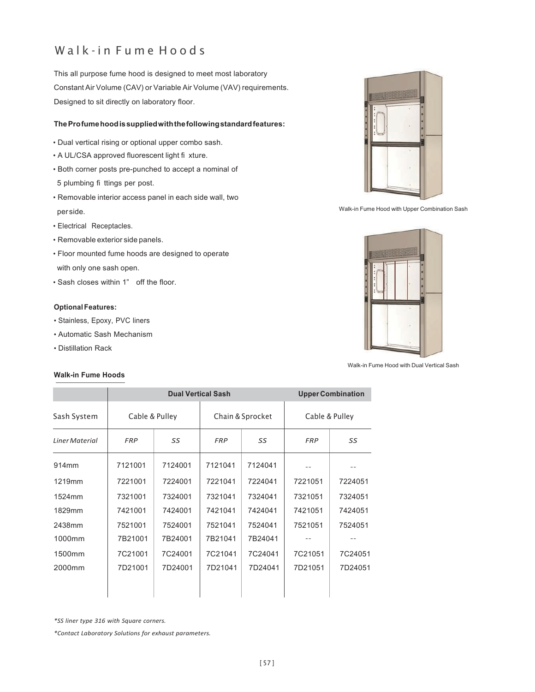# Walk-in Fume Hoods

This all purpose fume hood is designed to meet most laboratory Constant Air Volume (CAV) or Variable Air Volume (VAV) requirements. Designed to sit directly on laboratory floor.

### **The Pro fume hood is supplied with the following standard features:**

- Dual vertical rising or optional upper combo sash.
- A UL/CSA approved fluorescent light fi xture.
- Both corner posts pre-punched to accept a nominal of 5 plumbing fi ttings per post.
- Removable interior access panel in each side wall, two per side.
- Electrical Receptacles.
- Removable exterior side panels.
- Floor mounted fume hoods are designed to operate with only one sash open.
- Sash closes within 1" off the floor.

### **Optional Features:**

- Stainless, Epoxy, PVC liners
- Automatic Sash Mechanism
- Distillation Rack

### **Walk-in Fume Hoods**



Walk-in Fume Hood with Upper Combination Sash



Walk-in Fume Hood with Dual Vertical Sash

|                       | <b>Dual Vertical Sash</b> |         |            |                  | <b>Upper Combination</b> |         |  |
|-----------------------|---------------------------|---------|------------|------------------|--------------------------|---------|--|
| Sash System           | Cable & Pulley            |         |            | Chain & Sprocket | Cable & Pulley           |         |  |
| <b>Liner Material</b> | <b>FRP</b>                | SS      | <b>FRP</b> | SS               | <b>FRP</b>               | SS      |  |
| 914 <sub>mm</sub>     | 7121001                   | 7124001 | 7121041    | 7124041          |                          |         |  |
| 1219mm                | 7221001                   | 7224001 | 7221041    | 7224041          | 7221051                  | 7224051 |  |
| 1524mm                | 7321001                   | 7324001 | 7321041    | 7324041          | 7321051                  | 7324051 |  |
| 1829mm                | 7421001                   | 7424001 | 7421041    | 7424041          | 7421051                  | 7424051 |  |
| 2438mm                | 7521001                   | 7524001 | 7521041    | 7524041          | 7521051                  | 7524051 |  |
| 1000mm                | 7B21001                   | 7B24001 | 7B21041    | 7B24041          |                          |         |  |
| 1500mm                | 7C21001                   | 7C24001 | 7C21041    | 7C24041          | 7C21051                  | 7C24051 |  |
| 2000mm                | 7D21001                   | 7D24001 | 7D21041    | 7D24041          | 7D21051                  | 7D24051 |  |

*\*SS liner type 316 with Square corners.*

*\*Contact Laboratory Solutions for exhaust parameters.*